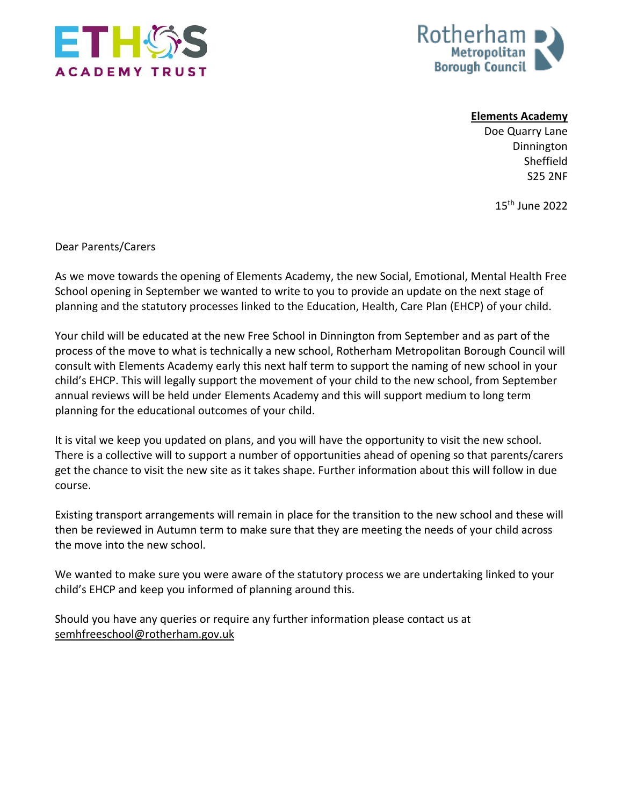



**Elements Academy**

Doe Quarry Lane Dinnington Sheffield S25 2NF

15th June 2022

Dear Parents/Carers

As we move towards the opening of Elements Academy, the new Social, Emotional, Mental Health Free School opening in September we wanted to write to you to provide an update on the next stage of planning and the statutory processes linked to the Education, Health, Care Plan (EHCP) of your child.

Your child will be educated at the new Free School in Dinnington from September and as part of the process of the move to what is technically a new school, Rotherham Metropolitan Borough Council will consult with Elements Academy early this next half term to support the naming of new school in your child's EHCP. This will legally support the movement of your child to the new school, from September annual reviews will be held under Elements Academy and this will support medium to long term planning for the educational outcomes of your child.

It is vital we keep you updated on plans, and you will have the opportunity to visit the new school. There is a collective will to support a number of opportunities ahead of opening so that parents/carers get the chance to visit the new site as it takes shape. Further information about this will follow in due course.

Existing transport arrangements will remain in place for the transition to the new school and these will then be reviewed in Autumn term to make sure that they are meeting the needs of your child across the move into the new school.

We wanted to make sure you were aware of the statutory process we are undertaking linked to your child's EHCP and keep you informed of planning around this.

Should you have any queries or require any further information please contact us at [semhfreeschool@rotherham.gov.uk](mailto:semhfreeschool@rotherham.gov.uk)